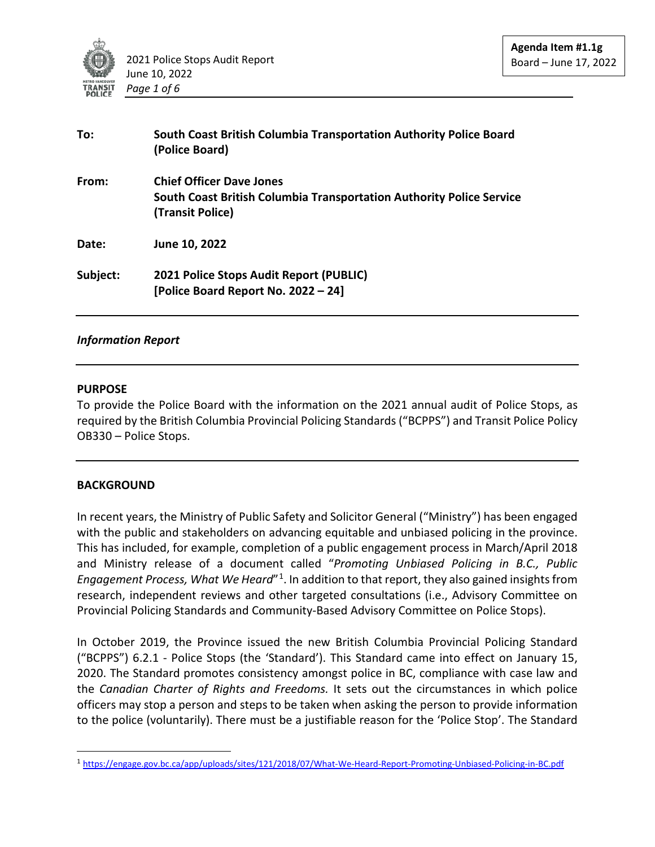

| To:      | South Coast British Columbia Transportation Authority Police Board<br>(Police Board)                                        |
|----------|-----------------------------------------------------------------------------------------------------------------------------|
| From:    | <b>Chief Officer Dave Jones</b><br>South Coast British Columbia Transportation Authority Police Service<br>(Transit Police) |
| Date:    | June 10, 2022                                                                                                               |
| Subject: | 2021 Police Stops Audit Report (PUBLIC)<br>[Police Board Report No. 2022 - 24]                                              |

#### *Information Report*

#### **PURPOSE**

To provide the Police Board with the information on the 2021 annual audit of Police Stops, as required by the British Columbia Provincial Policing Standards ("BCPPS") and Transit Police Policy OB330 – Police Stops.

### **BACKGROUND**

In recent years, the Ministry of Public Safety and Solicitor General ("Ministry") has been engaged with the public and stakeholders on advancing equitable and unbiased policing in the province. This has included, for example, completion of a public engagement process in March/April 2018 and Ministry release of a document called "*Promoting Unbiased Policing in B.C., Public Engagement Process, What We Heard*"[1](#page-0-0). In addition to that report, they also gained insights from research, independent reviews and other targeted consultations (i.e., Advisory Committee on Provincial Policing Standards and Community-Based Advisory Committee on Police Stops).

In October 2019, the Province issued the new British Columbia Provincial Policing Standard ("BCPPS") 6.2.1 - Police Stops (the 'Standard'). This Standard came into effect on January 15, 2020. The Standard promotes consistency amongst police in BC, compliance with case law and the *Canadian Charter of Rights and Freedoms.* It sets out the circumstances in which police officers may stop a person and steps to be taken when asking the person to provide information to the police (voluntarily). There must be a justifiable reason for the 'Police Stop'. The Standard

<span id="page-0-0"></span><sup>1</sup> https://engage.gov.bc.ca/app/uploads/sites/121/2018/07/What-We-Heard-Report-Promoting-Unbiased-Policing-in-BC.pdf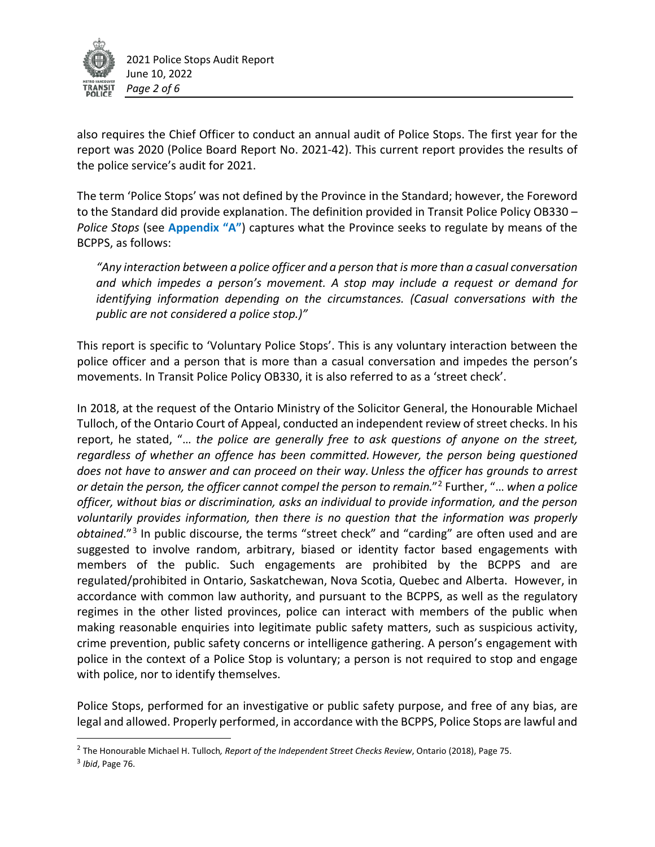

also requires the Chief Officer to conduct an annual audit of Police Stops. The first year for the report was 2020 (Police Board Report No. 2021-42). This current report provides the results of the police service's audit for 2021.

The term 'Police Stops' was not defined by the Province in the Standard; however, the Foreword to the Standard did provide explanation. The definition provided in Transit Police Policy OB330 – *Police Stops* (see **Appendix "A"**) captures what the Province seeks to regulate by means of the BCPPS, as follows:

*"Any interaction between a police officer and a person that is more than a casual conversation and which impedes a person's movement. A stop may include a request or demand for identifying information depending on the circumstances. (Casual conversations with the public are not considered a police stop.)"*

This report is specific to 'Voluntary Police Stops'. This is any voluntary interaction between the police officer and a person that is more than a casual conversation and impedes the person's movements. In Transit Police Policy OB330, it is also referred to as a 'street check'.

In 2018, at the request of the Ontario Ministry of the Solicitor General, the Honourable Michael Tulloch, of the Ontario Court of Appeal, conducted an independent review of street checks. In his report, he stated, "… *the police are generally free to ask questions of anyone on the street, regardless of whether an offence has been committed. However, the person being questioned does not have to answer and can proceed on their way.Unless the officer has grounds to arrest or detain the person, the officer cannot compel the person to remain*."[2](#page-1-0) Further, "… *when a police officer, without bias or discrimination, asks an individual to provide information, and the person voluntarily provides information, then there is no question that the information was properly obtained*."[3](#page-1-1) In public discourse, the terms "street check" and "carding" are often used and are suggested to involve random, arbitrary, biased or identity factor based engagements with members of the public. Such engagements are prohibited by the BCPPS and are regulated/prohibited in Ontario, Saskatchewan, Nova Scotia, Quebec and Alberta. However, in accordance with common law authority, and pursuant to the BCPPS, as well as the regulatory regimes in the other listed provinces, police can interact with members of the public when making reasonable enquiries into legitimate public safety matters, such as suspicious activity, crime prevention, public safety concerns or intelligence gathering. A person's engagement with police in the context of a Police Stop is voluntary; a person is not required to stop and engage with police, nor to identify themselves.

Police Stops, performed for an investigative or public safety purpose, and free of any bias, are legal and allowed. Properly performed, in accordance with the BCPPS, Police Stops are lawful and

<span id="page-1-0"></span><sup>2</sup> The Honourable Michael H. Tulloch*, Report of the Independent Street Checks Review*, Ontario (2018), Page 75.

<span id="page-1-1"></span><sup>3</sup> *Ibid*, Page 76.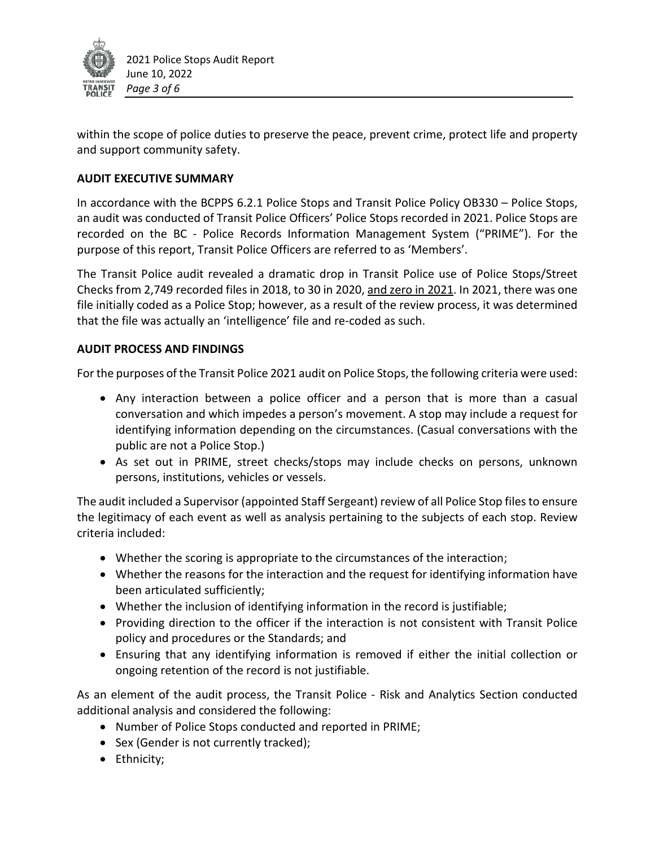

within the scope of police duties to preserve the peace, prevent crime, protect life and property and support community safety.

# **AUDIT EXECUTIVE SUMMARY**

In accordance with the BCPPS 6.2.1 Police Stops and Transit Police Policy OB330 – Police Stops, an audit was conducted of Transit Police Officers' Police Stops recorded in 2021. Police Stops are recorded on the BC - Police Records Information Management System ("PRIME"). For the purpose of this report, Transit Police Officers are referred to as 'Members'.

The Transit Police audit revealed a dramatic drop in Transit Police use of Police Stops/Street Checks from 2,749 recorded files in 2018, to 30 in 2020, and zero in 2021. In 2021, there was one file initially coded as a Police Stop; however, as a result of the review process, it was determined that the file was actually an 'intelligence' file and re-coded as such.

### **AUDIT PROCESS AND FINDINGS**

For the purposes of the Transit Police 2021 audit on Police Stops, the following criteria were used:

- Any interaction between a police officer and a person that is more than a casual conversation and which impedes a person's movement. A stop may include a request for identifying information depending on the circumstances. (Casual conversations with the public are not a Police Stop.)
- As set out in PRIME, street checks/stops may include checks on persons, unknown persons, institutions, vehicles or vessels.

The audit included a Supervisor (appointed Staff Sergeant) review of all Police Stop files to ensure the legitimacy of each event as well as analysis pertaining to the subjects of each stop. Review criteria included:

- Whether the scoring is appropriate to the circumstances of the interaction;
- Whether the reasons for the interaction and the request for identifying information have been articulated sufficiently;
- Whether the inclusion of identifying information in the record is justifiable;
- Providing direction to the officer if the interaction is not consistent with Transit Police policy and procedures or the Standards; and
- Ensuring that any identifying information is removed if either the initial collection or ongoing retention of the record is not justifiable.

As an element of the audit process, the Transit Police - Risk and Analytics Section conducted additional analysis and considered the following:

- Number of Police Stops conducted and reported in PRIME;
- Sex (Gender is not currently tracked);
- Ethnicity;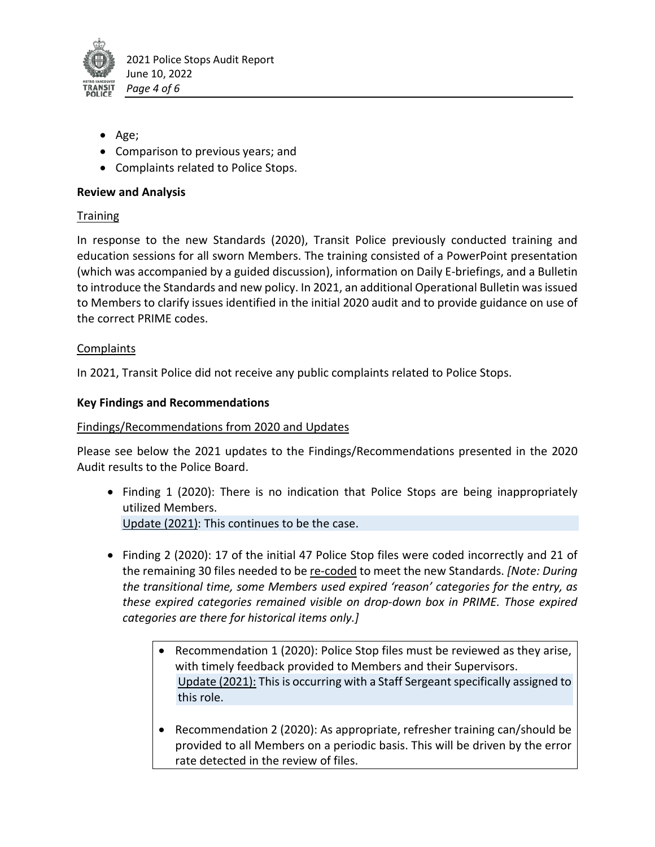

- Age;
- Comparison to previous years; and
- Complaints related to Police Stops.

# **Review and Analysis**

# **Training**

In response to the new Standards (2020), Transit Police previously conducted training and education sessions for all sworn Members. The training consisted of a PowerPoint presentation (which was accompanied by a guided discussion), information on Daily E-briefings, and a Bulletin to introduce the Standards and new policy. In 2021, an additional Operational Bulletin was issued to Members to clarify issues identified in the initial 2020 audit and to provide guidance on use of the correct PRIME codes.

## Complaints

In 2021, Transit Police did not receive any public complaints related to Police Stops.

## **Key Findings and Recommendations**

### Findings/Recommendations from 2020 and Updates

Please see below the 2021 updates to the Findings/Recommendations presented in the 2020 Audit results to the Police Board.

- Finding 1 (2020): There is no indication that Police Stops are being inappropriately utilized Members. Update (2021): This continues to be the case.
- Finding 2 (2020): 17 of the initial 47 Police Stop files were coded incorrectly and 21 of the remaining 30 files needed to be re-coded to meet the new Standards. *[Note: During the transitional time, some Members used expired 'reason' categories for the entry, as these expired categories remained visible on drop-down box in PRIME. Those expired categories are there for historical items only.]*
	- Recommendation 1 (2020): Police Stop files must be reviewed as they arise, with timely feedback provided to Members and their Supervisors. Update (2021): This is occurring with a Staff Sergeant specifically assigned to this role.
	- Recommendation 2 (2020): As appropriate, refresher training can/should be provided to all Members on a periodic basis. This will be driven by the error rate detected in the review of files.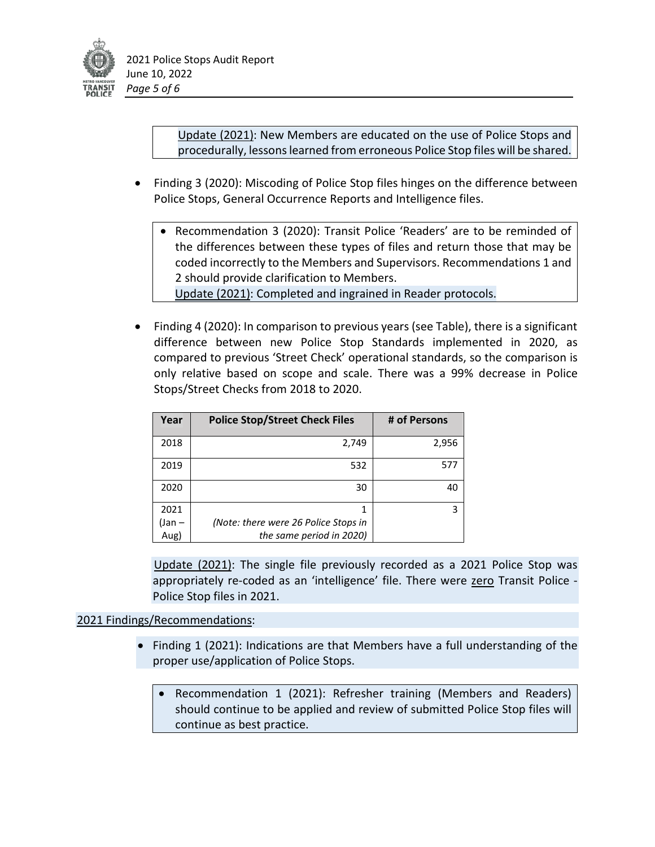

Update (2021): New Members are educated on the use of Police Stops and procedurally, lessons learned from erroneous Police Stop files will be shared.

- Finding 3 (2020): Miscoding of Police Stop files hinges on the difference between Police Stops, General Occurrence Reports and Intelligence files.
	- Recommendation 3 (2020): Transit Police 'Readers' are to be reminded of the differences between these types of files and return those that may be coded incorrectly to the Members and Supervisors. Recommendations 1 and 2 should provide clarification to Members.

Update (2021): Completed and ingrained in Reader protocols.

• Finding 4 (2020): In comparison to previous years (see Table), there is a significant difference between new Police Stop Standards implemented in 2020, as compared to previous 'Street Check' operational standards, so the comparison is only relative based on scope and scale. There was a 99% decrease in Police Stops/Street Checks from 2018 to 2020.

| Year   | <b>Police Stop/Street Check Files</b> | # of Persons |
|--------|---------------------------------------|--------------|
| 2018   | 2,749                                 | 2,956        |
| 2019   | 532                                   | 577          |
| 2020   | 30                                    | 40           |
| 2021   |                                       | 3            |
| (Jan – | (Note: there were 26 Police Stops in  |              |
| Aug)   | the same period in 2020)              |              |

Update (2021): The single file previously recorded as a 2021 Police Stop was appropriately re-coded as an 'intelligence' file. There were zero Transit Police -Police Stop files in 2021.

# 2021 Findings/Recommendations:

- Finding 1 (2021): Indications are that Members have a full understanding of the proper use/application of Police Stops.
	- Recommendation 1 (2021): Refresher training (Members and Readers) should continue to be applied and review of submitted Police Stop files will continue as best practice.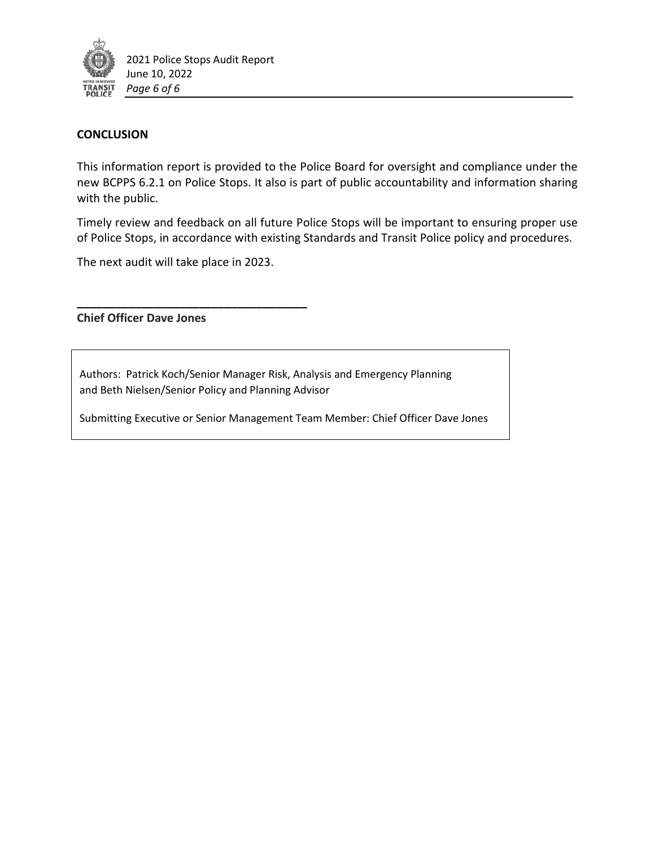

#### **CONCLUSION**

This information report is provided to the Police Board for oversight and compliance under the new BCPPS 6.2.1 on Police Stops. It also is part of public accountability and information sharing with the public.

Timely review and feedback on all future Police Stops will be important to ensuring proper use of Police Stops, in accordance with existing Standards and Transit Police policy and procedures.

The next audit will take place in 2023.

**\_\_\_\_\_\_\_\_\_\_\_\_\_\_\_\_\_\_\_\_\_\_\_\_\_\_\_\_\_\_\_\_\_\_\_\_**

**Chief Officer Dave Jones**

Authors: Patrick Koch/Senior Manager Risk, Analysis and Emergency Planning and Beth Nielsen/Senior Policy and Planning Advisor

Submitting Executive or Senior Management Team Member: Chief Officer Dave Jones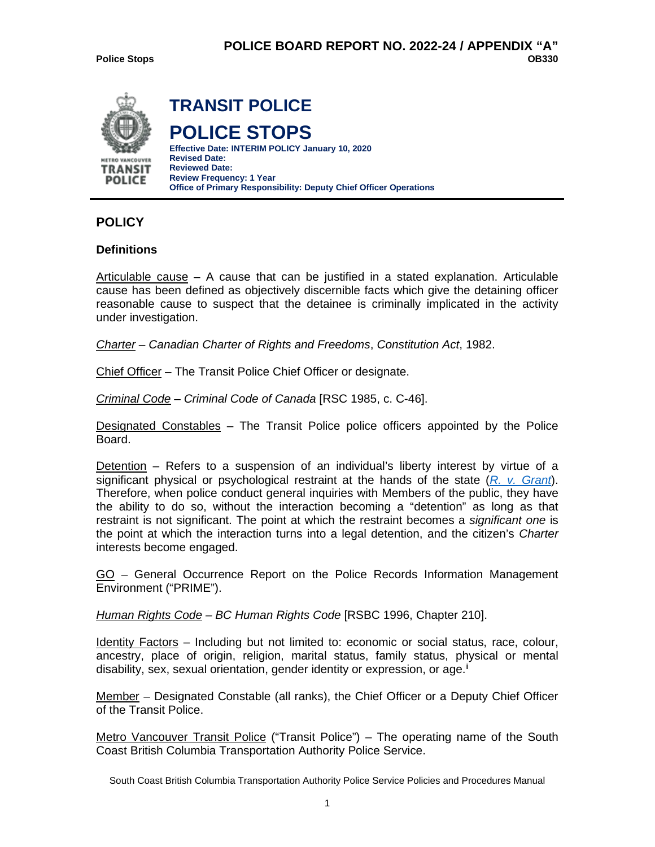

# **POLICY**

#### **Definitions**

Articulable cause – A cause that can be justified in a stated explanation. Articulable cause has been defined as objectively discernible facts which give the detaining officer reasonable cause to suspect that the detainee is criminally implicated in the activity under investigation.

*Charter* – *Canadian Charter of Rights and Freedoms*, *Constitution Act*, 1982.

Chief Officer – The Transit Police Chief Officer or designate.

*Criminal Code* – *Criminal Code of Canada* [RSC 1985, c. C-46].

Designated Constables – The Transit Police police officers appointed by the Police Board.

Detention – Refers to a suspension of an individual's liberty interest by virtue of a significant physical or psychological restraint at the hands of the state (*[R. v. Grant](http://owl01/otcs/cs.exe?func=ll&objId=1934927&objAction=download&viewType=1)*). Therefore, when police conduct general inquiries with Members of the public, they have the ability to do so, without the interaction becoming a "detention" as long as that restraint is not significant. The point at which the restraint becomes a *significant one* is the point at which the interaction turns into a legal detention, and the citizen's *Charter*  interests become engaged.

GO – General Occurrence Report on the Police Records Information Management Environment ("PRIME").

*Human Rights Code – BC Human Rights Code* [RSBC 1996, Chapter 210].

Identity Factors – Including but not limited to: economic or social status, race, colour, ancestry, place of origin, religion, marital status, family status, physical or mental disability, sex, sexual orientation, gender identity or expression, or age.**[i](#page-13-0)**

Member – Designated Constable (all ranks), the Chief Officer or a Deputy Chief Officer of the Transit Police.

Metro Vancouver Transit Police ("Transit Police") – The operating name of the South Coast British Columbia Transportation Authority Police Service.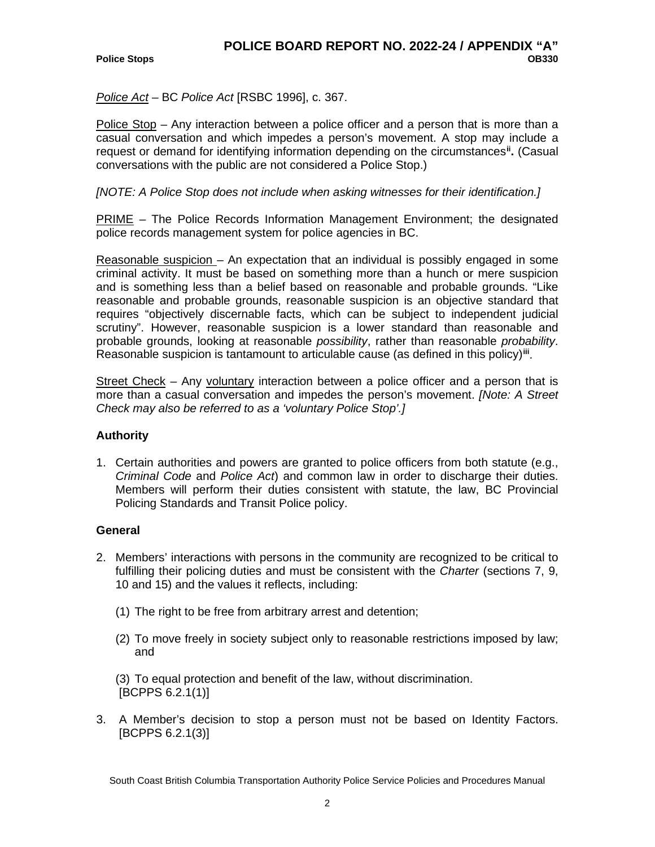*Police Act* – BC *Police Act* [RSBC 1996], c. 367.

Police Stop – Any interaction between a police officer and a person that is more than a casual conversation and which impedes a person's movement. A stop may include a request or demand for identifying information depending on the circumstances**[ii](#page-13-1) .** (Casual conversations with the public are not considered a Police Stop.)

### *[NOTE: A Police Stop does not include when asking witnesses for their identification.]*

PRIME – The Police Records Information Management Environment; the designated police records management system for police agencies in BC.

Reasonable suspicion – An expectation that an individual is possibly engaged in some criminal activity. It must be based on something more than a hunch or mere suspicion and is something less than a belief based on reasonable and probable grounds. "Like reasonable and probable grounds, reasonable suspicion is an objective standard that requires "objectively discernable facts, which can be subject to independent judicial scrutiny". However, reasonable suspicion is a lower standard than reasonable and probable grounds, looking at reasonable *possibility*, rather than reasonable *probability*. Reasonable suspicion is tantamount to articulable cause (as defined in this policy)**[iii](#page-13-2)**.

Street Check – Any voluntary interaction between a police officer and a person that is more than a casual conversation and impedes the person's movement. *[Note: A Street Check may also be referred to as a 'voluntary Police Stop'.]*

### **Authority**

1. Certain authorities and powers are granted to police officers from both statute (e.g., *Criminal Code* and *Police Act*) and common law in order to discharge their duties. Members will perform their duties consistent with statute, the law, BC Provincial Policing Standards and Transit Police policy.

### **General**

- 2. Members' interactions with persons in the community are recognized to be critical to fulfilling their policing duties and must be consistent with the *Charter* (sections 7, 9, 10 and 15) and the values it reflects, including:
	- (1) The right to be free from arbitrary arrest and detention;
	- (2) To move freely in society subject only to reasonable restrictions imposed by law; and

(3) To equal protection and benefit of the law, without discrimination. [BCPPS 6.2.1(1)]

3. A Member's decision to stop a person must not be based on Identity Factors. [BCPPS 6.2.1(3)]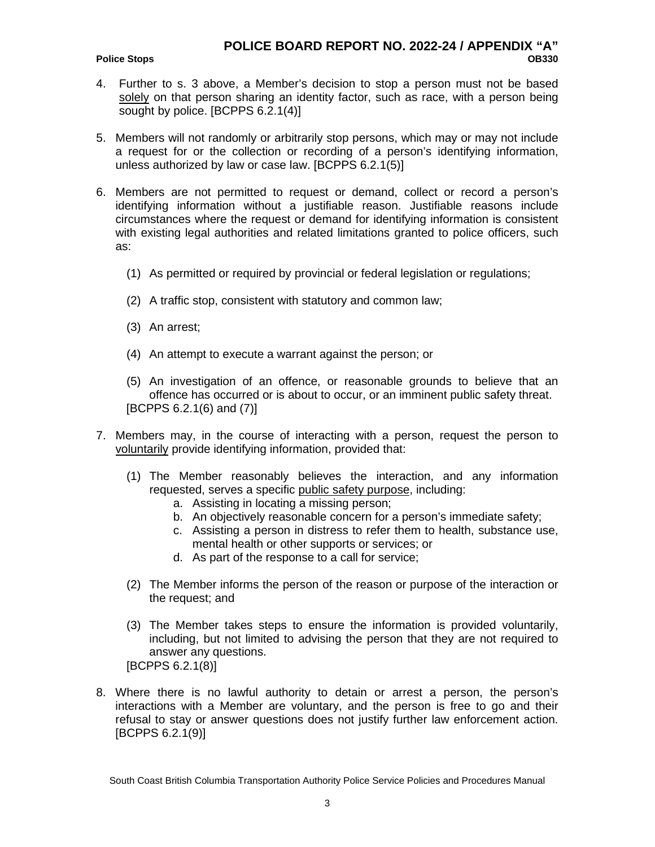#### **Police Stops**

- 4. Further to s. 3 above, a Member's decision to stop a person must not be based solely on that person sharing an identity factor, such as race, with a person being sought by police. [BCPPS 6.2.1(4)]
- 5. Members will not randomly or arbitrarily stop persons, which may or may not include a request for or the collection or recording of a person's identifying information, unless authorized by law or case law. [BCPPS 6.2.1(5)]
- 6. Members are not permitted to request or demand, collect or record a person's identifying information without a justifiable reason. Justifiable reasons include circumstances where the request or demand for identifying information is consistent with existing legal authorities and related limitations granted to police officers, such as:
	- (1) As permitted or required by provincial or federal legislation or regulations;
	- (2) A traffic stop, consistent with statutory and common law;
	- (3) An arrest;
	- (4) An attempt to execute a warrant against the person; or
	- (5) An investigation of an offence, or reasonable grounds to believe that an offence has occurred or is about to occur, or an imminent public safety threat. [BCPPS 6.2.1(6) and (7)]
- 7. Members may, in the course of interacting with a person, request the person to voluntarily provide identifying information, provided that:
	- (1) The Member reasonably believes the interaction, and any information requested, serves a specific public safety purpose, including:
		- a. Assisting in locating a missing person;
		- b. An objectively reasonable concern for a person's immediate safety;
		- c. Assisting a person in distress to refer them to health, substance use, mental health or other supports or services; or
		- d. As part of the response to a call for service;
	- (2) The Member informs the person of the reason or purpose of the interaction or the request; and
	- (3) The Member takes steps to ensure the information is provided voluntarily, including, but not limited to advising the person that they are not required to answer any questions.
	- [BCPPS 6.2.1(8)]
- 8. Where there is no lawful authority to detain or arrest a person, the person's interactions with a Member are voluntary, and the person is free to go and their refusal to stay or answer questions does not justify further law enforcement action. [BCPPS 6.2.1(9)]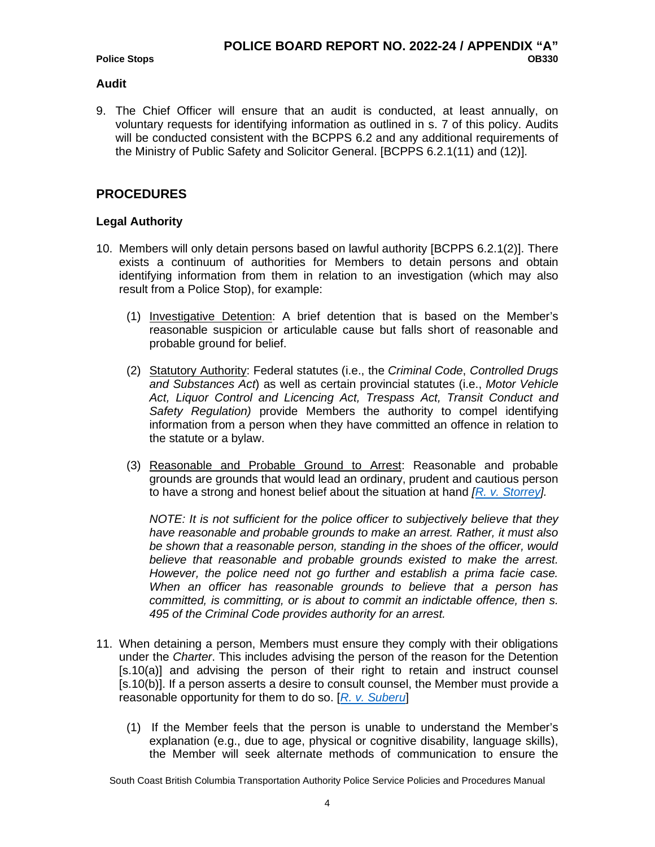#### **Audit**

9. The Chief Officer will ensure that an audit is conducted, at least annually, on voluntary requests for identifying information as outlined in s. 7 of this policy. Audits will be conducted consistent with the BCPPS 6.2 and any additional requirements of the Ministry of Public Safety and Solicitor General. [BCPPS 6.2.1(11) and (12)].

# **PROCEDURES**

### **Legal Authority**

- 10. Members will only detain persons based on lawful authority [BCPPS 6.2.1(2)]. There exists a continuum of authorities for Members to detain persons and obtain identifying information from them in relation to an investigation (which may also result from a Police Stop), for example:
	- (1) Investigative Detention: A brief detention that is based on the Member's reasonable suspicion or articulable cause but falls short of reasonable and probable ground for belief.
	- (2) Statutory Authority: Federal statutes (i.e., the *Criminal Code*, *Controlled Drugs and Substances Act*) as well as certain provincial statutes (i.e., *Motor Vehicle Act, Liquor Control and Licencing Act, Trespass Act, Transit Conduct and Safety Regulation)* provide Members the authority to compel identifying information from a person when they have committed an offence in relation to the statute or a bylaw.
	- (3) Reasonable and Probable Ground to Arrest: Reasonable and probable grounds are grounds that would lead an ordinary, prudent and cautious person to have a strong and honest belief about the situation at hand *[\[R. v. Storrey\]](http://owl01/otcs/cs.exe?func=ll&objId=1078601&objAction=download&viewType=1).*

*NOTE: It is not sufficient for the police officer to subjectively believe that they have reasonable and probable grounds to make an arrest. Rather, it must also be shown that a reasonable person, standing in the shoes of the officer, would believe that reasonable and probable grounds existed to make the arrest. However, the police need not go further and establish a prima facie case. When an officer has reasonable grounds to believe that a person has committed, is committing, or is about to commit an indictable offence, then s. 495 of the Criminal Code provides authority for an arrest.*

- 11. When detaining a person, Members must ensure they comply with their obligations under the *Charter*. This includes advising the person of the reason for the Detention [s.10(a)] and advising the person of their right to retain and instruct counsel [s.10(b)]. If a person asserts a desire to consult counsel, the Member must provide a reasonable opportunity for them to do so. [*[R. v. Suberu](http://owl01/otcs/cs.exe?func=ll&objId=1934357&objAction=download&viewType=1)*]
	- (1) If the Member feels that the person is unable to understand the Member's explanation (e.g., due to age, physical or cognitive disability, language skills), the Member will seek alternate methods of communication to ensure the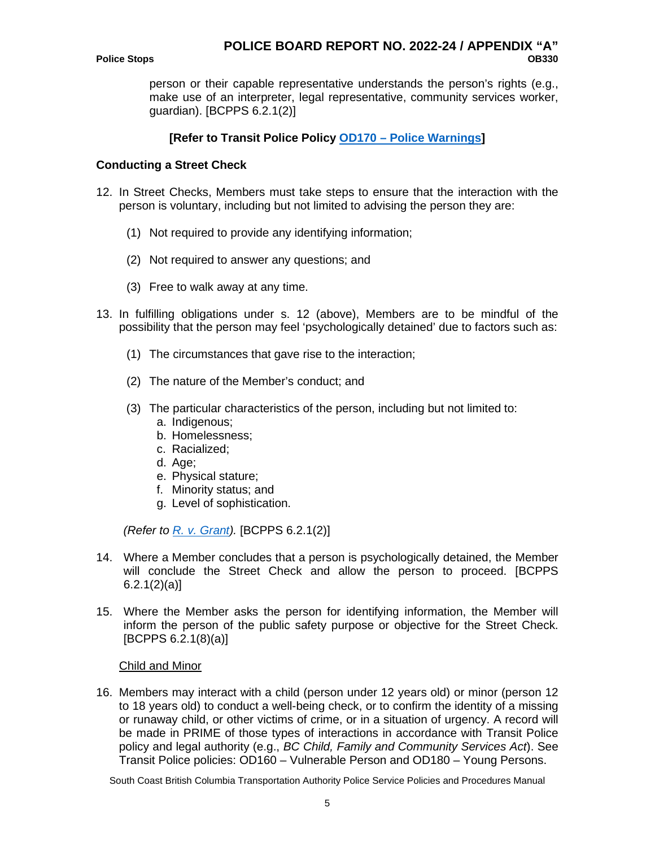person or their capable representative understands the person's rights (e.g., make use of an interpreter, legal representative, community services worker, guardian). [BCPPS 6.2.1(2)]

# **[Refer to Transit Police Policy OD170 – [Police Warnings\]](http://owl01/otcs/cs.exe?func=ll&objId=303071&objAction=download&viewType=1)**

#### **Conducting a Street Check**

- 12. In Street Checks, Members must take steps to ensure that the interaction with the person is voluntary, including but not limited to advising the person they are:
	- (1) Not required to provide any identifying information;
	- (2) Not required to answer any questions; and
	- (3) Free to walk away at any time.
- 13. In fulfilling obligations under s. 12 (above), Members are to be mindful of the possibility that the person may feel 'psychologically detained' due to factors such as:
	- (1) The circumstances that gave rise to the interaction;
	- (2) The nature of the Member's conduct; and
	- (3) The particular characteristics of the person, including but not limited to:
		- a. Indigenous;
		- b. Homelessness;
		- c. Racialized;
		- d. Age;
		- e. Physical stature;
		- f. Minority status; and
		- g. Level of sophistication.

*(Refer to [R. v. Grant\)](http://owl01/otcs/cs.exe?func=ll&objId=1934927&objAction=download&viewType=1).* [BCPPS 6.2.1(2)]

- 14. Where a Member concludes that a person is psychologically detained, the Member will conclude the Street Check and allow the person to proceed. [BCPPS  $6.2.1(2)(a)$
- 15. Where the Member asks the person for identifying information, the Member will inform the person of the public safety purpose or objective for the Street Check. [BCPPS 6.2.1(8)(a)]

#### Child and Minor

16. Members may interact with a child (person under 12 years old) or minor (person 12 to 18 years old) to conduct a well-being check, or to confirm the identity of a missing or runaway child, or other victims of crime, or in a situation of urgency. A record will be made in PRIME of those types of interactions in accordance with Transit Police policy and legal authority (e.g., *BC Child, Family and Community Services Act*). See Transit Police policies: OD160 – Vulnerable Person and OD180 – Young Persons.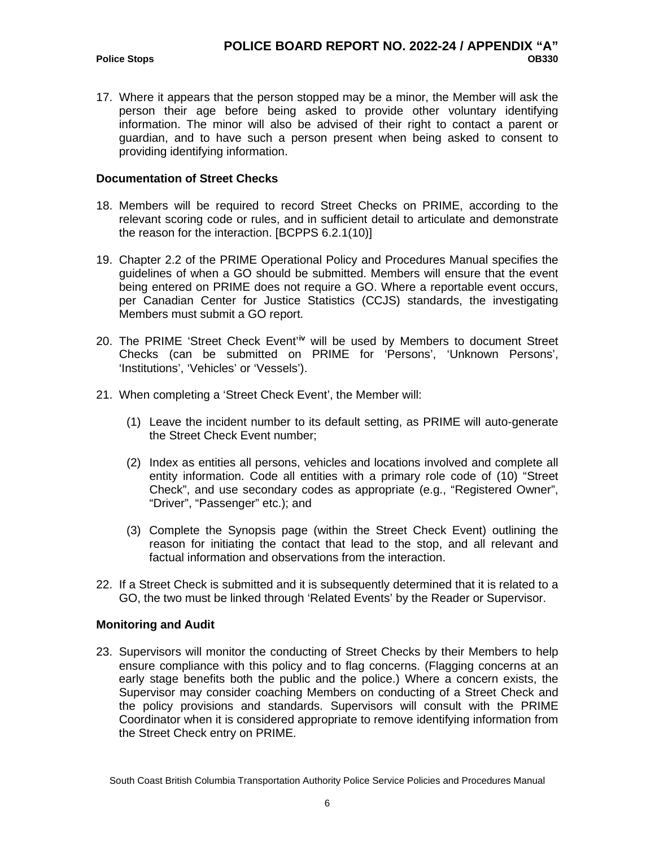**Police Stops** 

17. Where it appears that the person stopped may be a minor, the Member will ask the person their age before being asked to provide other voluntary identifying information. The minor will also be advised of their right to contact a parent or guardian, and to have such a person present when being asked to consent to providing identifying information.

#### **Documentation of Street Checks**

- 18. Members will be required to record Street Checks on PRIME, according to the relevant scoring code or rules, and in sufficient detail to articulate and demonstrate the reason for the interaction. [BCPPS 6.2.1(10)]
- 19. Chapter 2.2 of the PRIME Operational Policy and Procedures Manual specifies the guidelines of when a GO should be submitted. Members will ensure that the event being entered on PRIME does not require a GO. Where a reportable event occurs, per Canadian Center for Justice Statistics (CCJS) standards, the investigating Members must submit a GO report.
- 20. The PRIME 'Street Check Event'<sup>[iv](#page-13-3)</sup> will be used by Members to document Street Checks (can be submitted on PRIME for 'Persons', 'Unknown Persons', 'Institutions', 'Vehicles' or 'Vessels').
- 21. When completing a 'Street Check Event', the Member will:
	- (1) Leave the incident number to its default setting, as PRIME will auto-generate the Street Check Event number;
	- (2) Index as entities all persons, vehicles and locations involved and complete all entity information. Code all entities with a primary role code of (10) "Street Check", and use secondary codes as appropriate (e.g., "Registered Owner", "Driver", "Passenger" etc.); and
	- (3) Complete the Synopsis page (within the Street Check Event) outlining the reason for initiating the contact that lead to the stop, and all relevant and factual information and observations from the interaction.
- 22. If a Street Check is submitted and it is subsequently determined that it is related to a GO, the two must be linked through 'Related Events' by the Reader or Supervisor.

### **Monitoring and Audit**

23. Supervisors will monitor the conducting of Street Checks by their Members to help ensure compliance with this policy and to flag concerns. (Flagging concerns at an early stage benefits both the public and the police.) Where a concern exists, the Supervisor may consider coaching Members on conducting of a Street Check and the policy provisions and standards. Supervisors will consult with the PRIME Coordinator when it is considered appropriate to remove identifying information from the Street Check entry on PRIME.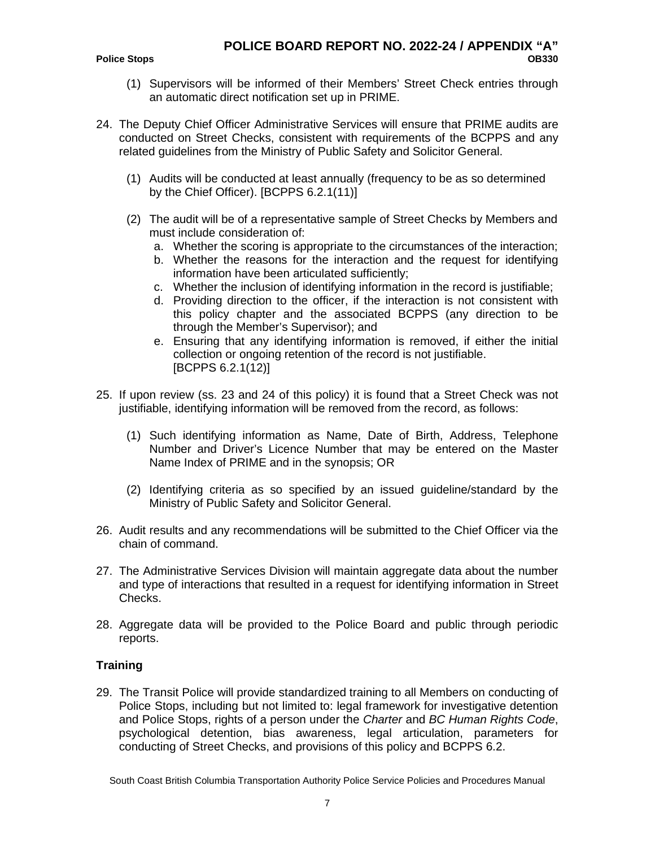- (1) Supervisors will be informed of their Members' Street Check entries through an automatic direct notification set up in PRIME.
- 24. The Deputy Chief Officer Administrative Services will ensure that PRIME audits are conducted on Street Checks, consistent with requirements of the BCPPS and any related guidelines from the Ministry of Public Safety and Solicitor General.
	- (1) Audits will be conducted at least annually (frequency to be as so determined by the Chief Officer). [BCPPS 6.2.1(11)]
	- (2) The audit will be of a representative sample of Street Checks by Members and must include consideration of:
		- a. Whether the scoring is appropriate to the circumstances of the interaction;
		- b. Whether the reasons for the interaction and the request for identifying information have been articulated sufficiently;
		- c. Whether the inclusion of identifying information in the record is justifiable;
		- d. Providing direction to the officer, if the interaction is not consistent with this policy chapter and the associated BCPPS (any direction to be through the Member's Supervisor); and
		- e. Ensuring that any identifying information is removed, if either the initial collection or ongoing retention of the record is not justifiable. [BCPPS 6.2.1(12)]
- 25. If upon review (ss. 23 and 24 of this policy) it is found that a Street Check was not justifiable, identifying information will be removed from the record, as follows:
	- (1) Such identifying information as Name, Date of Birth, Address, Telephone Number and Driver's Licence Number that may be entered on the Master Name Index of PRIME and in the synopsis; OR
	- (2) Identifying criteria as so specified by an issued guideline/standard by the Ministry of Public Safety and Solicitor General.
- 26. Audit results and any recommendations will be submitted to the Chief Officer via the chain of command.
- 27. The Administrative Services Division will maintain aggregate data about the number and type of interactions that resulted in a request for identifying information in Street Checks.
- 28. Aggregate data will be provided to the Police Board and public through periodic reports.

### **Training**

29. The Transit Police will provide standardized training to all Members on conducting of Police Stops, including but not limited to: legal framework for investigative detention and Police Stops, rights of a person under the *Charter* and *BC Human Rights Code*, psychological detention, bias awareness, legal articulation, parameters for conducting of Street Checks, and provisions of this policy and BCPPS 6.2.